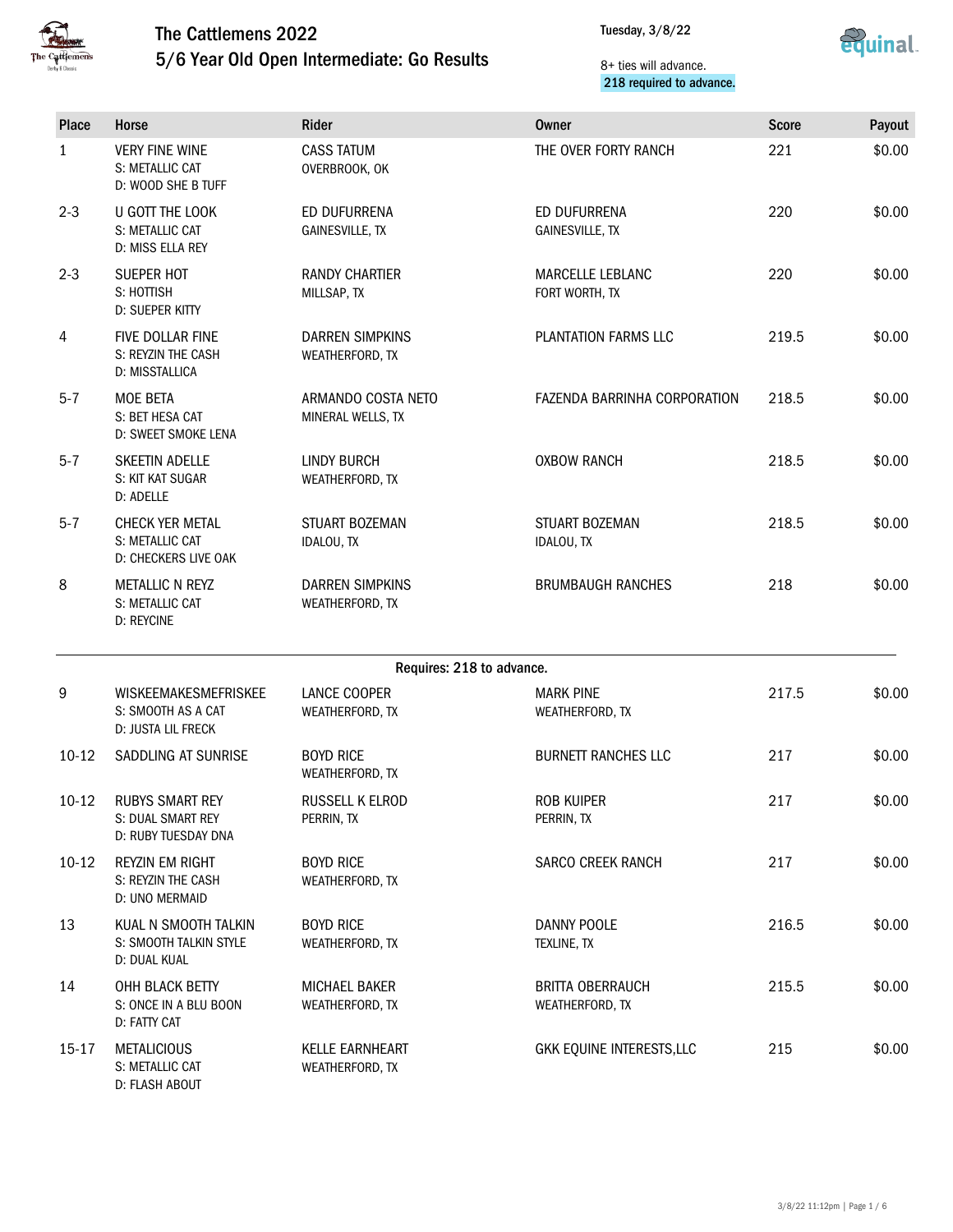

5/6 Year Old Open Intermediate: Go Results



#### 8+ ties will advance. 218 required to advance.

| <b>Place</b> | Horse                                                              | <b>Rider</b>                              | <b>Owner</b>                               | <b>Score</b> | Payout |  |  |
|--------------|--------------------------------------------------------------------|-------------------------------------------|--------------------------------------------|--------------|--------|--|--|
| 1            | <b>VERY FINE WINE</b><br>S: METALLIC CAT<br>D: WOOD SHE B TUFF     | <b>CASS TATUM</b><br>OVERBROOK, OK        | THE OVER FORTY RANCH                       | 221          | \$0.00 |  |  |
| $2 - 3$      | U GOTT THE LOOK<br>S: METALLIC CAT<br>D: MISS ELLA REY             | ED DUFURRENA<br><b>GAINESVILLE, TX</b>    | ED DUFURRENA<br>GAINESVILLE, TX            | 220          | \$0.00 |  |  |
| $2 - 3$      | <b>SUEPER HOT</b><br>S: HOTTISH<br>D: SUEPER KITTY                 | <b>RANDY CHARTIER</b><br>MILLSAP, TX      | MARCELLE LEBLANC<br>FORT WORTH, TX         | 220          | \$0.00 |  |  |
| 4            | FIVE DOLLAR FINE<br>S: REYZIN THE CASH<br>D: MISSTALLICA           | <b>DARREN SIMPKINS</b><br>WEATHERFORD, TX | PLANTATION FARMS LLC                       | 219.5        | \$0.00 |  |  |
| $5 - 7$      | <b>MOE BETA</b><br>S: BET HESA CAT<br>D: SWEET SMOKE LENA          | ARMANDO COSTA NETO<br>MINERAL WELLS, TX   | FAZENDA BARRINHA CORPORATION               | 218.5        | \$0.00 |  |  |
| $5 - 7$      | SKEETIN ADELLE<br>S: KIT KAT SUGAR<br>D: ADELLE                    | <b>LINDY BURCH</b><br>WEATHERFORD, TX     | <b>OXBOW RANCH</b>                         | 218.5        | \$0.00 |  |  |
| $5 - 7$      | <b>CHECK YER METAL</b><br>S: METALLIC CAT<br>D: CHECKERS LIVE OAK  | STUART BOZEMAN<br>IDALOU, TX              | STUART BOZEMAN<br>IDALOU, TX               | 218.5        | \$0.00 |  |  |
| 8            | <b>METALLIC N REYZ</b><br>S: METALLIC CAT<br><b>D: REYCINE</b>     | <b>DARREN SIMPKINS</b><br>WEATHERFORD, TX | <b>BRUMBAUGH RANCHES</b>                   | 218          | \$0.00 |  |  |
|              | Requires: 218 to advance.                                          |                                           |                                            |              |        |  |  |
| 9            | WISKEEMAKESMEFRISKEE<br>S: SMOOTH AS A CAT<br>D: JUSTA LIL FRECK   | LANCE COOPER<br>WEATHERFORD, TX           | <b>MARK PINE</b><br>WEATHERFORD, TX        | 217.5        | \$0.00 |  |  |
| $10-12$      | SADDLING AT SUNRISE                                                | <b>BOYD RICE</b><br>WEATHERFORD, TX       | <b>BURNETT RANCHES LLC</b>                 | 217          | \$0.00 |  |  |
| $10-12$      | <b>RUBYS SMART REY</b><br>S: DUAL SMART REY<br>D: RUBY TUESDAY DNA | RUSSELL K ELROD<br>PERRIN, TX             | <b>ROB KUIPER</b><br>PERRIN, TX            | 217          | \$0.00 |  |  |
| $10-12$      | <b>REYZIN EM RIGHT</b><br>S: REYZIN THE CASH<br>D: UNO MERMAID     | <b>BOYD RICE</b><br>WEATHERFORD, TX       | <b>SARCO CREEK RANCH</b>                   | 217          | \$0.00 |  |  |
| 13           | KUAL N SMOOTH TALKIN<br>S: SMOOTH TALKIN STYLE<br>D: DUAL KUAL     | <b>BOYD RICE</b><br>WEATHERFORD, TX       | <b>DANNY POOLE</b><br>TEXLINE, TX          | 216.5        | \$0.00 |  |  |
| 14           | OHH BLACK BETTY<br>S: ONCE IN A BLU BOON<br>D: FATTY CAT           | MICHAEL BAKER<br>WEATHERFORD, TX          | <b>BRITTA OBERRAUCH</b><br>WEATHERFORD, TX | 215.5        | \$0.00 |  |  |
| 15-17        | <b>METALICIOUS</b><br>S: METALLIC CAT<br>D: FLASH ABOUT            | <b>KELLE EARNHEART</b><br>WEATHERFORD, TX | GKK EQUINE INTERESTS, LLC                  | 215          | \$0.00 |  |  |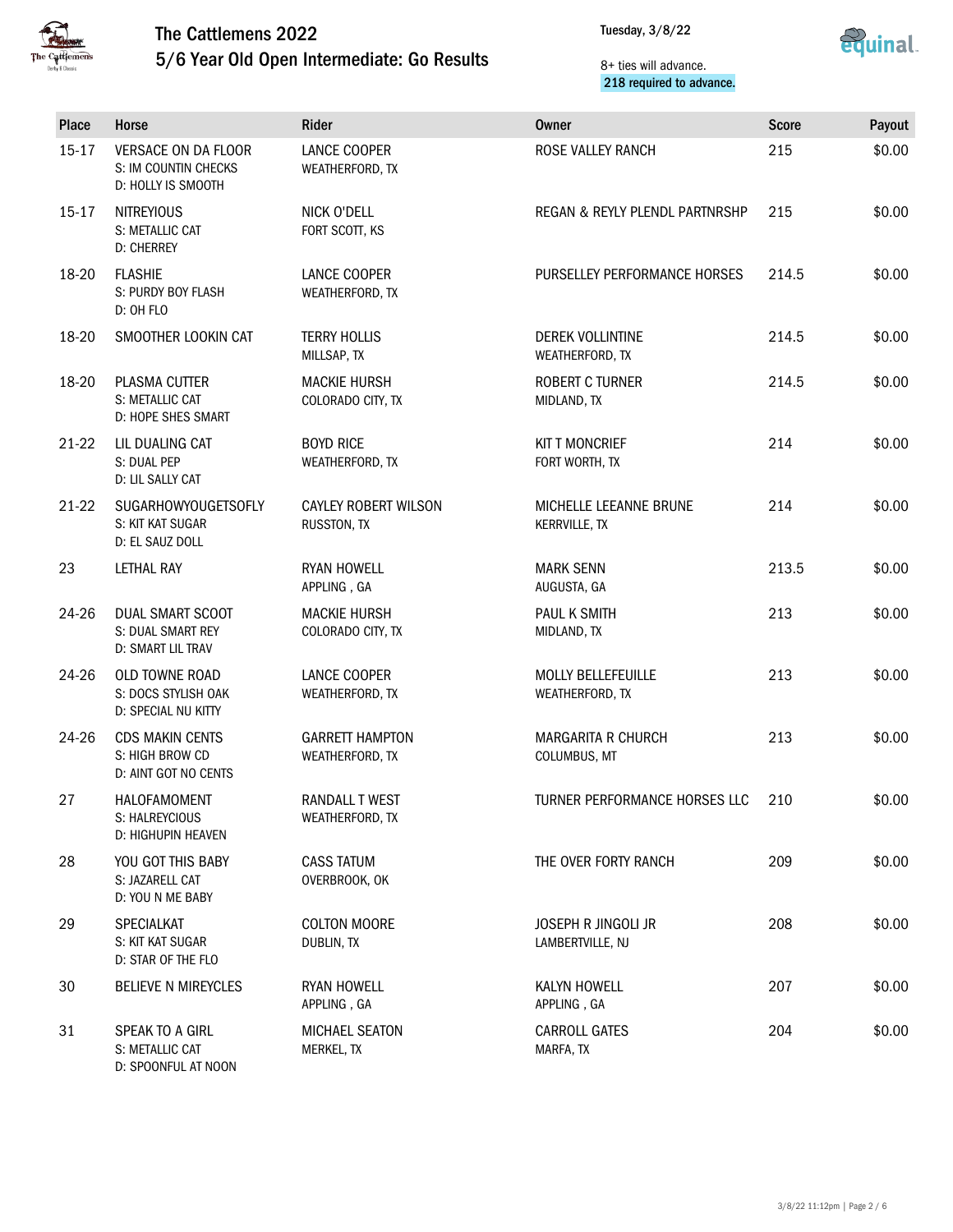

5/6 Year Old Open Intermediate: Go Results



#### 8+ ties will advance. 218 required to advance.

| Place     | Horse                                                                    | Rider                                      | Owner                                          | <b>Score</b> | Payout |
|-----------|--------------------------------------------------------------------------|--------------------------------------------|------------------------------------------------|--------------|--------|
| $15 - 17$ | <b>VERSACE ON DA FLOOR</b><br>S: IM COUNTIN CHECKS<br>D: HOLLY IS SMOOTH | LANCE COOPER<br>WEATHERFORD, TX            | ROSE VALLEY RANCH                              | 215          | \$0.00 |
| $15 - 17$ | <b>NITREYIOUS</b><br>S: METALLIC CAT<br><b>D: CHERREY</b>                | NICK O'DELL<br>FORT SCOTT, KS              | REGAN & REYLY PLENDL PARTNRSHP                 | 215          | \$0.00 |
| 18-20     | <b>FLASHIE</b><br>S: PURDY BOY FLASH<br>D: OH FLO                        | <b>LANCE COOPER</b><br>WEATHERFORD, TX     | PURSELLEY PERFORMANCE HORSES                   | 214.5        | \$0.00 |
| 18-20     | SMOOTHER LOOKIN CAT                                                      | <b>TERRY HOLLIS</b><br>MILLSAP, TX         | DEREK VOLLINTINE<br>WEATHERFORD, TX            | 214.5        | \$0.00 |
| 18-20     | PLASMA CUTTER<br>S: METALLIC CAT<br>D: HOPE SHES SMART                   | <b>MACKIE HURSH</b><br>COLORADO CITY, TX   | ROBERT C TURNER<br>MIDLAND, TX                 | 214.5        | \$0.00 |
| $21-22$   | LIL DUALING CAT<br>S: DUAL PEP<br>D: LIL SALLY CAT                       | <b>BOYD RICE</b><br>WEATHERFORD, TX        | <b>KIT T MONCRIEF</b><br>FORT WORTH, TX        | 214          | \$0.00 |
| $21-22$   | <b>SUGARHOWYOUGETSOFLY</b><br>S: KIT KAT SUGAR<br>D: EL SAUZ DOLL        | <b>CAYLEY ROBERT WILSON</b><br>RUSSTON, TX | MICHELLE LEEANNE BRUNE<br><b>KERRVILLE, TX</b> | 214          | \$0.00 |
| 23        | <b>LETHAL RAY</b>                                                        | <b>RYAN HOWELL</b><br>APPLING, GA          | <b>MARK SENN</b><br>AUGUSTA, GA                | 213.5        | \$0.00 |
| 24-26     | DUAL SMART SCOOT<br>S: DUAL SMART REY<br>D: SMART LIL TRAV               | <b>MACKIE HURSH</b><br>COLORADO CITY, TX   | PAUL K SMITH<br>MIDLAND, TX                    | 213          | \$0.00 |
| 24-26     | OLD TOWNE ROAD<br>S: DOCS STYLISH OAK<br>D: SPECIAL NU KITTY             | LANCE COOPER<br>WEATHERFORD, TX            | MOLLY BELLEFEUILLE<br>WEATHERFORD, TX          | 213          | \$0.00 |
| $24 - 26$ | <b>CDS MAKIN CENTS</b><br>S: HIGH BROW CD<br>D: AINT GOT NO CENTS        | <b>GARRETT HAMPTON</b><br>WEATHERFORD, TX  | <b>MARGARITA R CHURCH</b><br>COLUMBUS, MT      | 213          | \$0.00 |
| 27        | HALOFAMOMENT<br>S: HALREYCIOUS<br>D: HIGHUPIN HEAVEN                     | RANDALL T WEST<br>WEATHERFORD, TX          | TURNER PERFORMANCE HORSES LLC                  | 210          | \$0.00 |
| 28        | YOU GOT THIS BABY<br>S: JAZARELL CAT<br>D: YOU N ME BABY                 | <b>CASS TATUM</b><br>OVERBROOK, OK         | THE OVER FORTY RANCH                           | 209          | \$0.00 |
| 29        | SPECIALKAT<br>S: KIT KAT SUGAR<br>D: STAR OF THE FLO                     | <b>COLTON MOORE</b><br>DUBLIN, TX          | <b>JOSEPH R JINGOLI JR</b><br>LAMBERTVILLE, NJ | 208          | \$0.00 |
| 30        | <b>BELIEVE N MIREYCLES</b>                                               | <b>RYAN HOWELL</b><br>APPLING, GA          | KALYN HOWELL<br>APPLING, GA                    | 207          | \$0.00 |
| 31        | SPEAK TO A GIRL<br>S: METALLIC CAT<br>D: SPOONFUL AT NOON                | MICHAEL SEATON<br>MERKEL, TX               | <b>CARROLL GATES</b><br>MARFA, TX              | 204          | \$0.00 |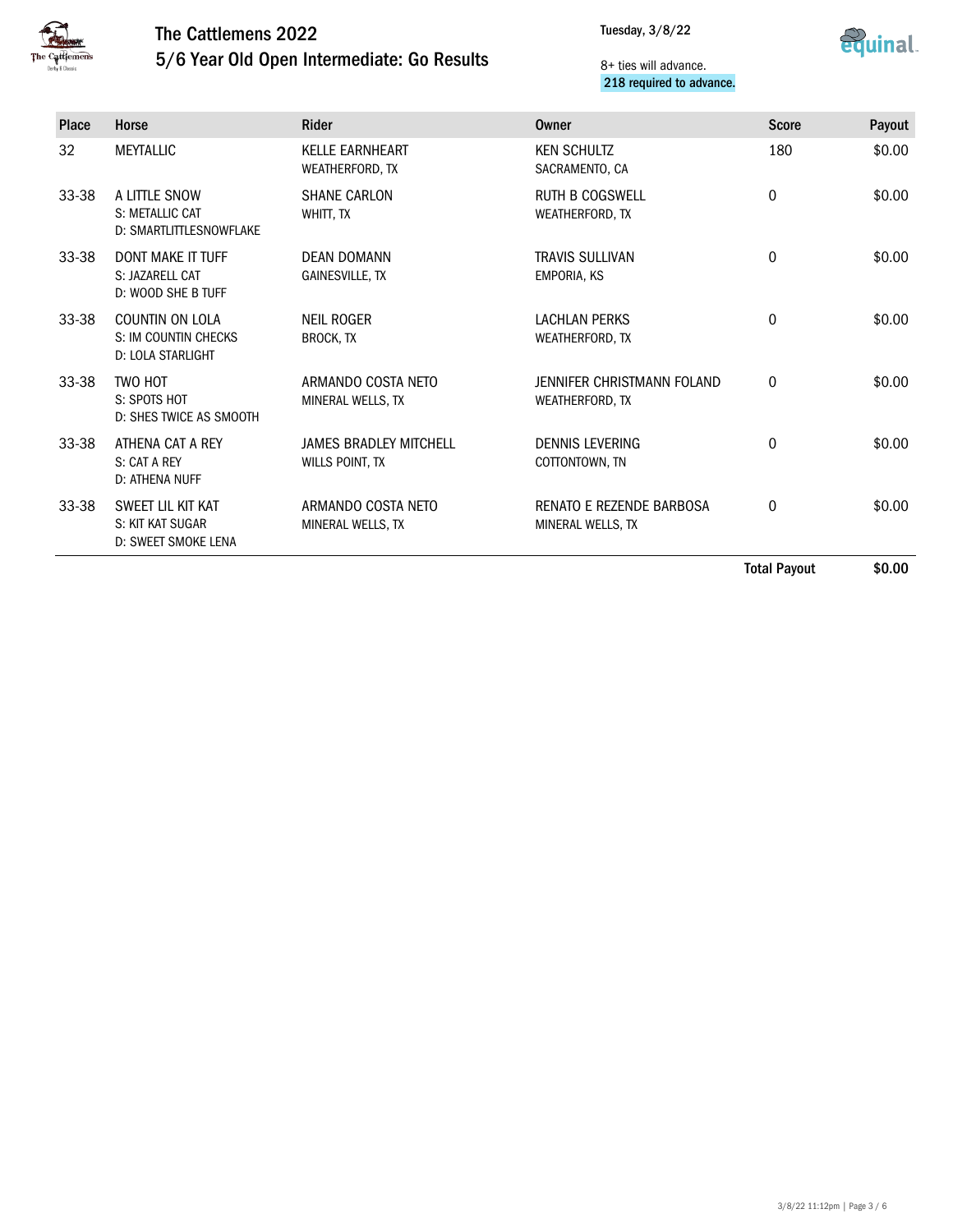

### The Cattlemens 2022 5/6 Year Old Open Intermediate: Go Results



#### 8+ ties will advance. 218 required to advance.

| <b>Place</b> | Horse                                                             | <b>Rider</b>                                     | Owner                                         | <b>Score</b> | Payout |
|--------------|-------------------------------------------------------------------|--------------------------------------------------|-----------------------------------------------|--------------|--------|
| 32           | <b>MEYTALLIC</b>                                                  | <b>KELLE EARNHEART</b><br>WEATHERFORD, TX        | <b>KEN SCHULTZ</b><br>SACRAMENTO, CA          | 180          | \$0.00 |
| 33-38        | A LITTLE SNOW<br>S: METALLIC CAT<br>D: SMARTLITTLESNOWFLAKE       | <b>SHANE CARLON</b><br>WHITT. TX                 | <b>RUTH B COGSWELL</b><br>WEATHERFORD, TX     | $\mathbf 0$  | \$0.00 |
| 33-38        | <b>DONT MAKE IT TUFF</b><br>S: JAZARELL CAT<br>D: WOOD SHE B TUFF | DFAN DOMANN<br><b>GAINESVILLE, TX</b>            | <b>TRAVIS SULLIVAN</b><br><b>EMPORIA, KS</b>  | $\mathbf 0$  | \$0.00 |
| 33-38        | COUNTIN ON LOLA<br>S: IM COUNTIN CHECKS<br>D: LOLA STARLIGHT      | <b>NEIL ROGER</b><br><b>BROCK, TX</b>            | <b>LACHLAN PERKS</b><br>WEATHERFORD, TX       | 0            | \$0.00 |
| 33-38        | TWO HOT<br>S: SPOTS HOT<br>D: SHES TWICE AS SMOOTH                | ARMANDO COSTA NETO<br>MINERAL WELLS, TX          | JENNIFER CHRISTMANN FOLAND<br>WEATHERFORD, TX | $\mathbf 0$  | \$0.00 |
| 33-38        | ATHENA CAT A REY<br>S: CAT A REY<br>D: ATHENA NUFF                | <b>JAMES BRADLEY MITCHELL</b><br>WILLS POINT, TX | <b>DENNIS LEVERING</b><br>COTTONTOWN, TN      | 0            | \$0.00 |
| 33-38        | SWEET LIL KIT KAT<br>S: KIT KAT SUGAR<br>D: SWEET SMOKE LENA      | ARMANDO COSTA NETO<br>MINERAL WELLS, TX          | RENATO E REZENDE BARBOSA<br>MINERAL WELLS, TX | $\Omega$     | \$0.00 |

Total Payout \$0.00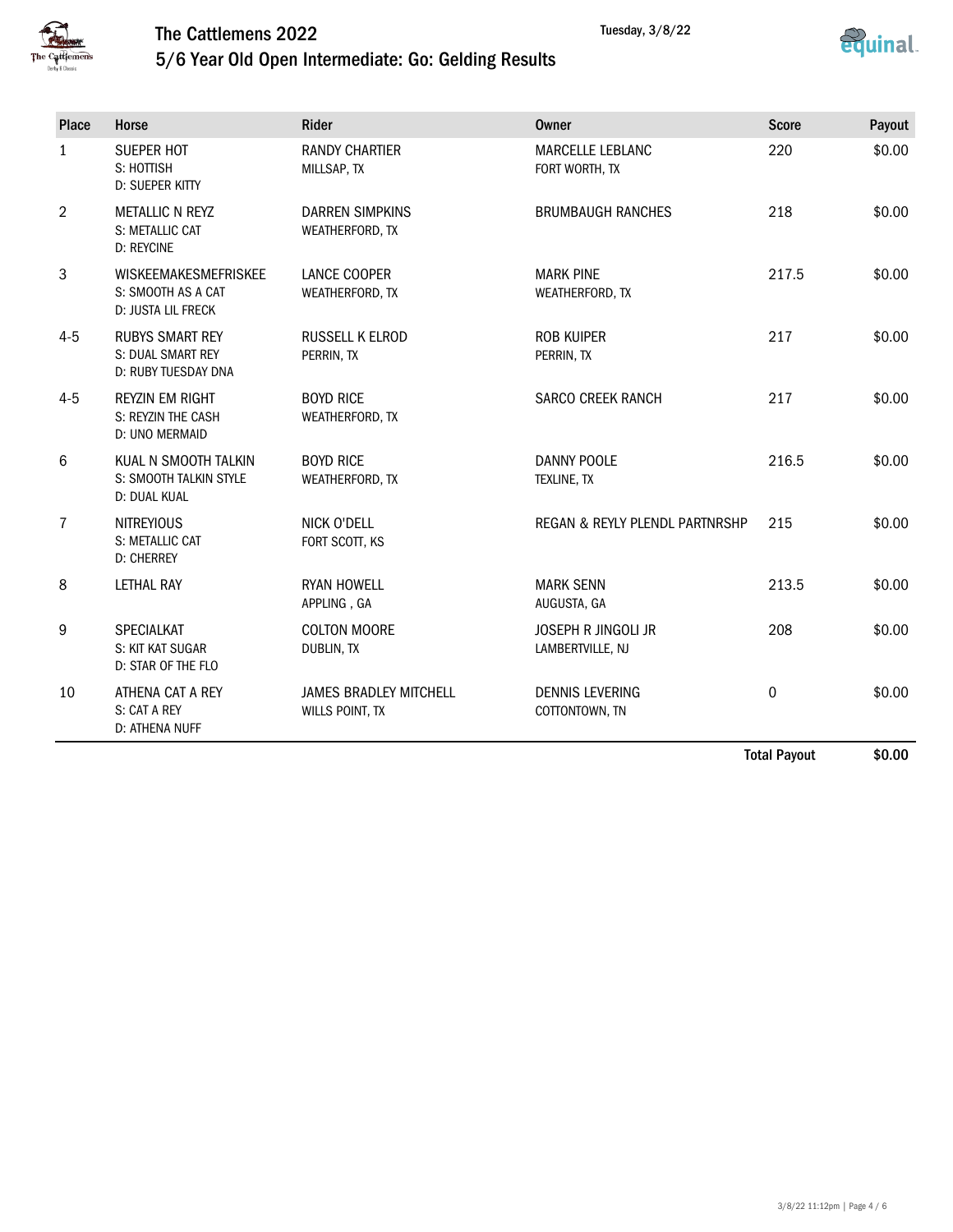



### 5/6 Year Old Open Intermediate: Go: Gelding Results

| Place          | Horse                                                                   | Rider                                            | Owner                                          | <b>Score</b>     | Payout |
|----------------|-------------------------------------------------------------------------|--------------------------------------------------|------------------------------------------------|------------------|--------|
| $\mathbf{1}$   | <b>SUEPER HOT</b><br>S: HOTTISH<br>D: SUEPER KITTY                      | <b>RANDY CHARTIER</b><br>MILLSAP, TX             | MARCELLE LEBLANC<br>FORT WORTH, TX             | 220              | \$0.00 |
| $\overline{2}$ | <b>METALLIC N REYZ</b><br>S: METALLIC CAT<br><b>D: REYCINE</b>          | <b>DARREN SIMPKINS</b><br>WEATHERFORD, TX        | <b>BRUMBAUGH RANCHES</b>                       | 218              | \$0.00 |
| 3              | <b>WISKEEMAKESMEFRISKEE</b><br>S: SMOOTH AS A CAT<br>D: JUSTA LIL FRECK | LANCE COOPER<br>WEATHERFORD, TX                  | <b>MARK PINE</b><br>WEATHERFORD, TX            | 217.5            | \$0.00 |
| $4 - 5$        | <b>RUBYS SMART REY</b><br>S: DUAL SMART REY<br>D: RUBY TUESDAY DNA      | <b>RUSSELL K ELROD</b><br>PERRIN, TX             | <b>ROB KUIPER</b><br>PERRIN, TX                | 217              | \$0.00 |
| $4 - 5$        | <b>REYZIN EM RIGHT</b><br>S: REYZIN THE CASH<br>D: UNO MERMAID          | <b>BOYD RICE</b><br>WEATHERFORD, TX              | <b>SARCO CREEK RANCH</b>                       | 217              | \$0.00 |
| 6              | KUAL N SMOOTH TALKIN<br>S: SMOOTH TALKIN STYLE<br>D: DUAL KUAL          | <b>BOYD RICE</b><br>WEATHERFORD, TX              | DANNY POOLE<br>TEXLINE, TX                     | 216.5            | \$0.00 |
| 7              | <b>NITREYIOUS</b><br>S: METALLIC CAT<br><b>D: CHERREY</b>               | NICK O'DELL<br>FORT SCOTT, KS                    | REGAN & REYLY PLENDL PARTNRSHP                 | 215              | \$0.00 |
| 8              | <b>LETHAL RAY</b>                                                       | <b>RYAN HOWELL</b><br>APPLING, GA                | <b>MARK SENN</b><br>AUGUSTA, GA                | 213.5            | \$0.00 |
| 9              | SPECIALKAT<br>S: KIT KAT SUGAR<br>D: STAR OF THE FLO                    | <b>COLTON MOORE</b><br>DUBLIN, TX                | <b>JOSEPH R JINGOLI JR</b><br>LAMBERTVILLE, NJ | 208              | \$0.00 |
| 10             | ATHENA CAT A REY<br>S: CAT A REY<br>D: ATHENA NUFF                      | <b>JAMES BRADLEY MITCHELL</b><br>WILLS POINT, TX | <b>DENNIS LEVERING</b><br>COTTONTOWN, TN       | $\boldsymbol{0}$ | \$0.00 |

Total Payout \$0.00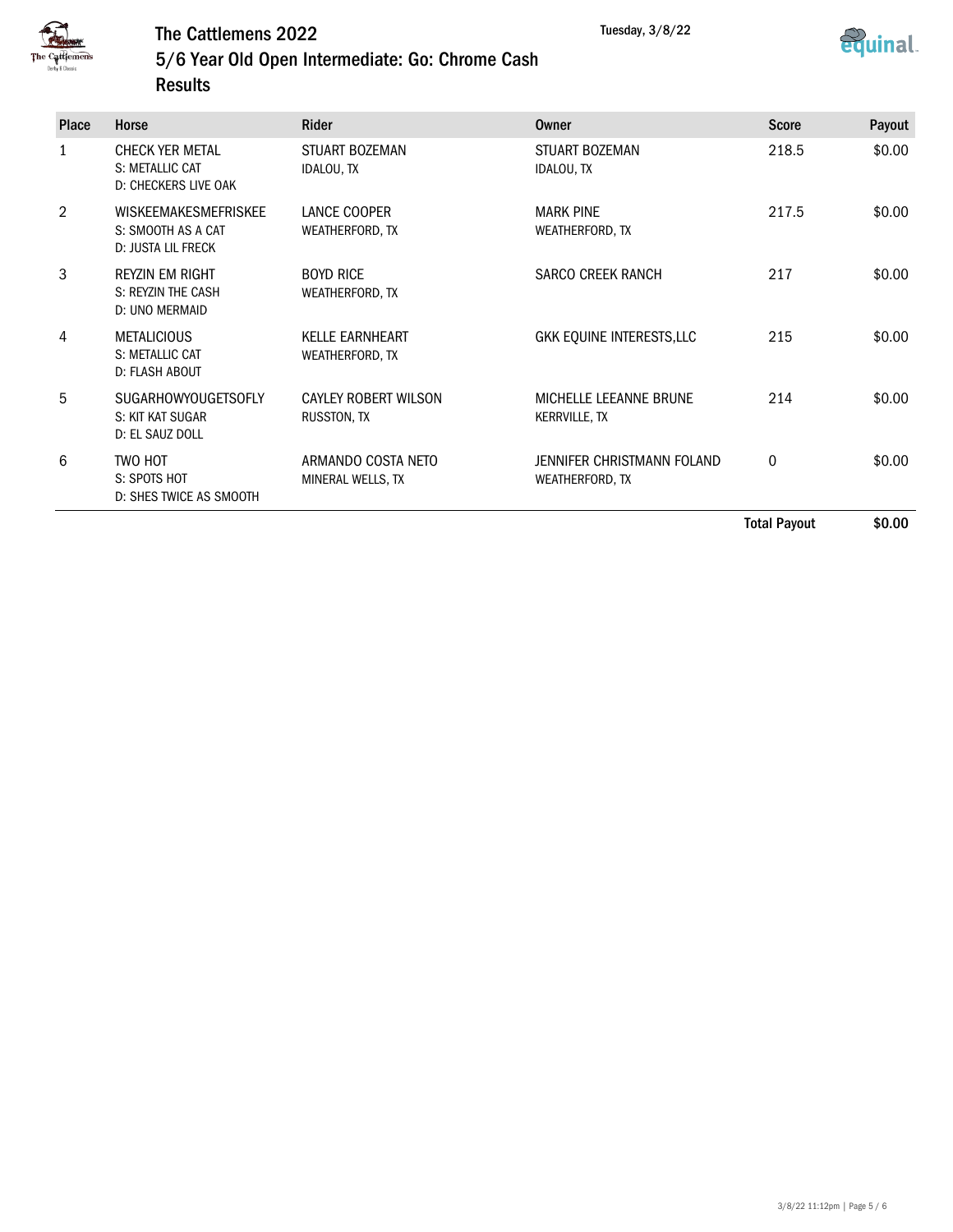



5/6 Year Old Open Intermediate: Go: Chrome Cash **Results** 

| <b>Place</b> | Horse                                                                   | Rider                                      | Owner                                          | <b>Score</b> | Payout |
|--------------|-------------------------------------------------------------------------|--------------------------------------------|------------------------------------------------|--------------|--------|
| 1            | <b>CHECK YER METAL</b><br>S: METALLIC CAT<br>D: CHECKERS LIVE OAK       | <b>STUART BOZEMAN</b><br><b>IDALOU, TX</b> | <b>STUART BOZEMAN</b><br><b>IDALOU, TX</b>     | 218.5        | \$0.00 |
| 2            | <b>WISKEEMAKESMEFRISKEE</b><br>S: SMOOTH AS A CAT<br>D: JUSTA LIL FRECK | LANCE COOPER<br>WEATHERFORD, TX            | <b>MARK PINE</b><br>WEATHERFORD, TX            | 217.5        | \$0.00 |
| 3            | <b>REYZIN EM RIGHT</b><br>S: REYZIN THE CASH<br>D: UNO MERMAID          | <b>BOYD RICE</b><br>WEATHERFORD, TX        | SARCO CREEK RANCH                              | 217          | \$0.00 |
| 4            | <b>METALICIOUS</b><br>S: METALLIC CAT<br>D: FLASH ABOUT                 | <b>KELLE EARNHEART</b><br>WEATHERFORD, TX  | GKK EQUINE INTERESTS, LLC                      | 215          | \$0.00 |
| 5            | <b>SUGARHOWYOUGETSOFLY</b><br>S: KIT KAT SUGAR<br>D: EL SAUZ DOLL       | <b>CAYLEY ROBERT WILSON</b><br>RUSSTON, TX | MICHELLE LEEANNE BRUNE<br><b>KERRVILLE, TX</b> | 214          | \$0.00 |
| 6            | TWO HOT<br>S: SPOTS HOT<br>D: SHES TWICE AS SMOOTH                      | ARMANDO COSTA NETO<br>MINERAL WELLS, TX    | JENNIFER CHRISTMANN FOLAND<br>WEATHERFORD, TX  | $\mathbf 0$  | \$0.00 |
|              |                                                                         |                                            |                                                | - - - -      |        |

Total Payout \$0.00